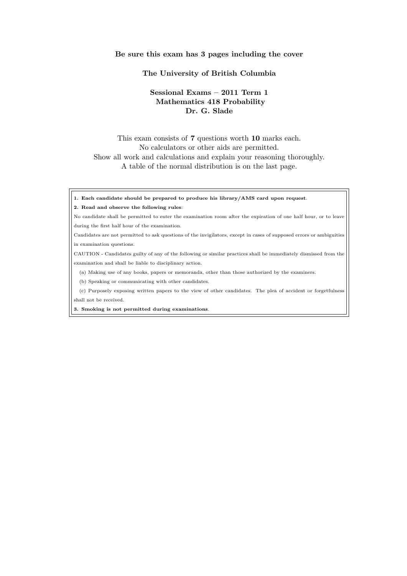#### **Be sure this exam has 3 pages including the cover**

### **The University of British Columbia**

# **Sessional Exams – 2011 Term 1 Mathematics 418 Probability Dr. G. Slade**

# This exam consists of **7** questions worth **10** marks each. No calculators or other aids are permitted. Show all work and calculations and explain your reasoning thoroughly. A table of the normal distribution is on the last page.

**1. Each candidate should be prepared to produce his library/AMS card upon request**.

#### **2. Read and observe the following rules**:

- No candidate shall be permitted to enter the examination room after the expiration of one half hour, or to leave during the first half hour of the examination.
- Candidates are not permitted to ask questions of the invigilators, except in cases of supposed errors or ambiguities in examination questions.

CAUTION - Candidates guilty of any of the following or similar practices shall be immediately dismissed from the examination and shall be liable to disciplinary action.

(a) Making use of any books, papers or memoranda, other than those authorized by the examiners.

(b) Speaking or communicating with other candidates.

(c) Purposely exposing written papers to the view of other candidates. The plea of accident or forgetfulness shall not be received.

**3. Smoking is not permitted during examinations**.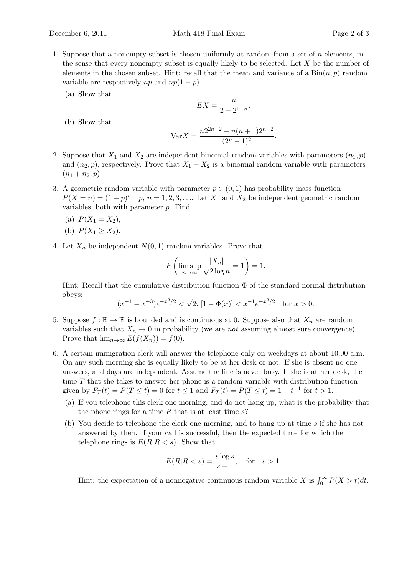- 
- 1. Suppose that a nonempty subset is chosen uniformly at random from a set of *n* elements, in the sense that every nonempty subset is equally likely to be selected. Let *X* be the number of elements in the chosen subset. Hint: recall that the mean and variance of a  $\text{Bin}(n, p)$  random variable are respectively *np* and  $np(1-p)$ .
	- (a) Show that

(b) Show that

$$
EX = \frac{n}{2 - 2^{1 - n}}.
$$

$$
Var X = \frac{n2^{2n - 2} - n(n + 1)2^{n - 2}}{(2^n - 1)^2}.
$$

- 2. Suppose that  $X_1$  and  $X_2$  are independent binomial random variables with parameters  $(n_1, p)$ and  $(n_2, p)$ , respectively. Prove that  $X_1 + X_2$  is a binomial random variable with parameters  $(n_1 + n_2, p).$
- 3. A geometric random variable with parameter  $p \in (0,1)$  has probability mass function  $P(X = n) = (1 - p)^{n-1}p$ ,  $n = 1, 2, 3, \ldots$  Let  $X_1$  and  $X_2$  be independent geometric random variables, both with parameter *p*. Find:
	- (a)  $P(X_1 = X_2)$ ,
	- (b)  $P(X_1 \ge X_2)$ .
- 4. Let  $X_n$  be independent  $N(0,1)$  random variables. Prove that

$$
P\left(\limsup_{n\to\infty}\frac{|X_n|}{\sqrt{2\log n}}=1\right)=1.
$$

Hint: Recall that the cumulative distribution function Φ of the standard normal distribution obeys:

$$
(x^{-1} - x^{-3})e^{-x^2/2} < \sqrt{2\pi}[1 - \Phi(x)] < x^{-1}e^{-x^2/2} \text{ for } x > 0.
$$

- 5. Suppose  $f : \mathbb{R} \to \mathbb{R}$  is bounded and is continuous at 0. Suppose also that  $X_n$  are random variables such that  $X_n \to 0$  in probability (we are *not* assuming almost sure convergence). Prove that  $\lim_{n\to\infty} E(f(X_n)) = f(0).$
- 6. A certain immigration clerk will answer the telephone only on weekdays at about 10:00 a.m. On any such morning she is equally likely to be at her desk or not. If she is absent no one answers, and days are independent. Assume the line is never busy. If she is at her desk, the time *T* that she takes to answer her phone is a random variable with distribution function given by  $F_T(t) = P(T \le t) = 0$  for  $t \le 1$  and  $F_T(t) = P(T \le t) = 1 - t^{-1}$  for  $t > 1$ .
	- (a) If you telephone this clerk one morning, and do not hang up, what is the probability that the phone rings for a time *R* that is at least time *s*?
	- (b) You decide to telephone the clerk one morning, and to hang up at time *s* if she has not answered by then. If your call is successful, then the expected time for which the telephone rings is  $E(R|R \leq s)$ . Show that

$$
E(R|R < s) = \frac{s \log s}{s - 1}, \quad \text{for} \quad s > 1.
$$

Hint: the expectation of a nonnegative continuous random variable *X* is  $\int_0^\infty P(X > t) dt$ .